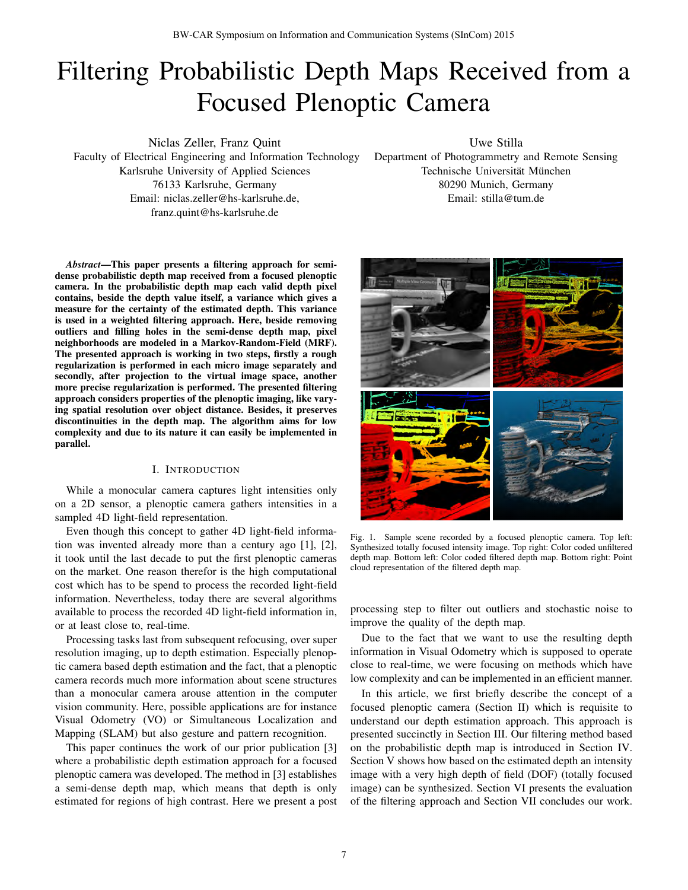# Filtering Probabilistic Depth Maps Received from a Focused Plenoptic Camera

Niclas Zeller, Franz Quint Faculty of Electrical Engineering and Information Technology Karlsruhe University of Applied Sciences 76133 Karlsruhe, Germany Email: niclas.zeller@hs-karlsruhe.de, franz.quint@hs-karlsruhe.de

Uwe Stilla

Department of Photogrammetry and Remote Sensing Technische Universität München 80290 Munich, Germany Email: stilla@tum.de

*Abstract*—This paper presents a filtering approach for semidense probabilistic depth map received from a focused plenoptic camera. In the probabilistic depth map each valid depth pixel contains, beside the depth value itself, a variance which gives a measure for the certainty of the estimated depth. This variance is used in a weighted filtering approach. Here, beside removing outliers and filling holes in the semi-dense depth map, pixel neighborhoods are modeled in a Markov-Random-Field (MRF). The presented approach is working in two steps, firstly a rough regularization is performed in each micro image separately and secondly, after projection to the virtual image space, another more precise regularization is performed. The presented filtering approach considers properties of the plenoptic imaging, like varying spatial resolution over object distance. Besides, it preserves discontinuities in the depth map. The algorithm aims for low complexity and due to its nature it can easily be implemented in parallel.

#### I. INTRODUCTION

While a monocular camera captures light intensities only on a 2D sensor, a plenoptic camera gathers intensities in a sampled 4D light-field representation.

Even though this concept to gather 4D light-field information was invented already more than a century ago [1], [2], it took until the last decade to put the first plenoptic cameras on the market. One reason therefor is the high computational cost which has to be spend to process the recorded light-field information. Nevertheless, today there are several algorithms available to process the recorded 4D light-field information in, or at least close to, real-time.

Processing tasks last from subsequent refocusing, over super resolution imaging, up to depth estimation. Especially plenoptic camera based depth estimation and the fact, that a plenoptic camera records much more information about scene structures than a monocular camera arouse attention in the computer vision community. Here, possible applications are for instance Visual Odometry (VO) or Simultaneous Localization and Mapping (SLAM) but also gesture and pattern recognition.

This paper continues the work of our prior publication [3] where a probabilistic depth estimation approach for a focused plenoptic camera was developed. The method in [3] establishes a semi-dense depth map, which means that depth is only estimated for regions of high contrast. Here we present a post



Fig. 1. Sample scene recorded by a focused plenoptic camera. Top left: Synthesized totally focused intensity image. Top right: Color coded unfiltered depth map. Bottom left: Color coded filtered depth map. Bottom right: Point cloud representation of the filtered depth map.

processing step to filter out outliers and stochastic noise to improve the quality of the depth map.

Due to the fact that we want to use the resulting depth information in Visual Odometry which is supposed to operate close to real-time, we were focusing on methods which have low complexity and can be implemented in an efficient manner.

In this article, we first briefly describe the concept of a focused plenoptic camera (Section II) which is requisite to understand our depth estimation approach. This approach is presented succinctly in Section III. Our filtering method based on the probabilistic depth map is introduced in Section IV. Section V shows how based on the estimated depth an intensity image with a very high depth of field (DOF) (totally focused image) can be synthesized. Section VI presents the evaluation of the filtering approach and Section VII concludes our work.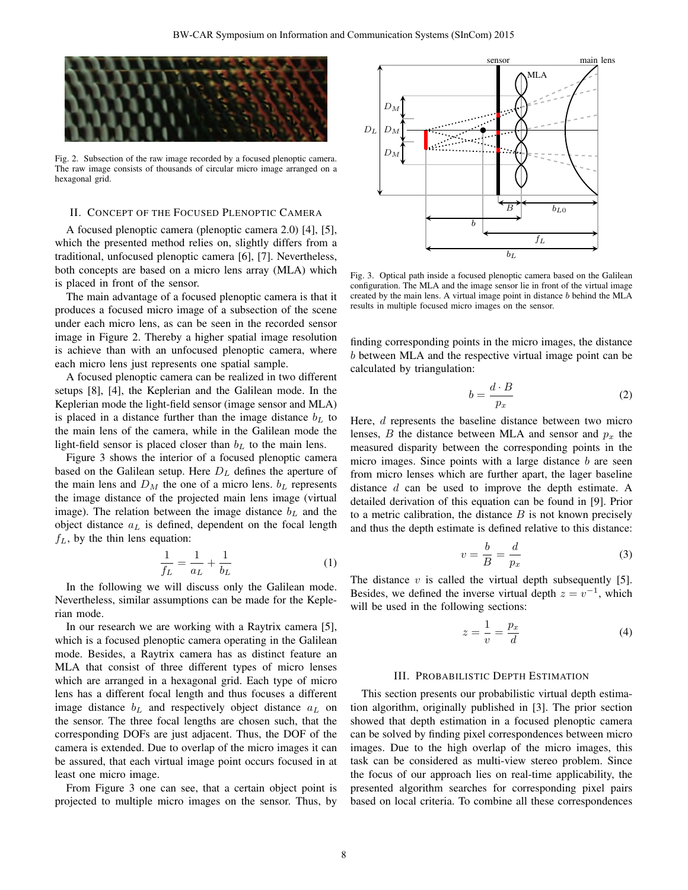

Fig. 2. Subsection of the raw image recorded by a focused plenoptic camera. The raw image consists of thousands of circular micro image arranged on a hexagonal grid.

#### II. CONCEPT OF THE FOCUSED PLENOPTIC CAMERA

A focused plenoptic camera (plenoptic camera 2.0) [4], [5], which the presented method relies on, slightly differs from a traditional, unfocused plenoptic camera [6], [7]. Nevertheless, both concepts are based on a micro lens array (MLA) which is placed in front of the sensor.

The main advantage of a focused plenoptic camera is that it produces a focused micro image of a subsection of the scene under each micro lens, as can be seen in the recorded sensor image in Figure 2. Thereby a higher spatial image resolution is achieve than with an unfocused plenoptic camera, where each micro lens just represents one spatial sample.

A focused plenoptic camera can be realized in two different setups [8], [4], the Keplerian and the Galilean mode. In the Keplerian mode the light-field sensor (image sensor and MLA) is placed in a distance further than the image distance  $b<sub>L</sub>$  to the main lens of the camera, while in the Galilean mode the light-field sensor is placed closer than  $b<sub>L</sub>$  to the main lens.

Figure 3 shows the interior of a focused plenoptic camera based on the Galilean setup. Here  $D<sub>L</sub>$  defines the aperture of the main lens and  $D_M$  the one of a micro lens.  $b_L$  represents the image distance of the projected main lens image (virtual image). The relation between the image distance  $b<sub>L</sub>$  and the object distance  $a<sub>L</sub>$  is defined, dependent on the focal length  $f_L$ , by the thin lens equation:

$$
\frac{1}{f_L} = \frac{1}{a_L} + \frac{1}{b_L} \tag{1}
$$

In the following we will discuss only the Galilean mode. Nevertheless, similar assumptions can be made for the Keplerian mode.

In our research we are working with a Raytrix camera [5], which is a focused plenoptic camera operating in the Galilean mode. Besides, a Raytrix camera has as distinct feature an MLA that consist of three different types of micro lenses which are arranged in a hexagonal grid. Each type of micro lens has a different focal length and thus focuses a different image distance  $b<sub>L</sub>$  and respectively object distance  $a<sub>L</sub>$  on the sensor. The three focal lengths are chosen such, that the corresponding DOFs are just adjacent. Thus, the DOF of the camera is extended. Due to overlap of the micro images it can be assured, that each virtual image point occurs focused in at least one micro image.

From Figure 3 one can see, that a certain object point is projected to multiple micro images on the sensor. Thus, by



Fig. 3. Optical path inside a focused plenoptic camera based on the Galilean configuration. The MLA and the image sensor lie in front of the virtual image created by the main lens. A virtual image point in distance b behind the MLA results in multiple focused micro images on the sensor.

finding corresponding points in the micro images, the distance b between MLA and the respective virtual image point can be calculated by triangulation:

$$
b = \frac{d \cdot B}{p_x} \tag{2}
$$

Here, d represents the baseline distance between two micro lenses, B the distance between MLA and sensor and  $p_x$  the measured disparity between the corresponding points in the micro images. Since points with a large distance  $b$  are seen from micro lenses which are further apart, the lager baseline distance  $d$  can be used to improve the depth estimate. A detailed derivation of this equation can be found in [9]. Prior to a metric calibration, the distance  $B$  is not known precisely and thus the depth estimate is defined relative to this distance:

$$
v = \frac{b}{B} = \frac{d}{p_x} \tag{3}
$$

The distance  $v$  is called the virtual depth subsequently [5]. Besides, we defined the inverse virtual depth  $z = v^{-1}$ , which will be used in the following sections:

$$
z = \frac{1}{v} = \frac{p_x}{d} \tag{4}
$$

#### III. PROBABILISTIC DEPTH ESTIMATION

This section presents our probabilistic virtual depth estimation algorithm, originally published in [3]. The prior section showed that depth estimation in a focused plenoptic camera can be solved by finding pixel correspondences between micro images. Due to the high overlap of the micro images, this task can be considered as multi-view stereo problem. Since the focus of our approach lies on real-time applicability, the presented algorithm searches for corresponding pixel pairs based on local criteria. To combine all these correspondences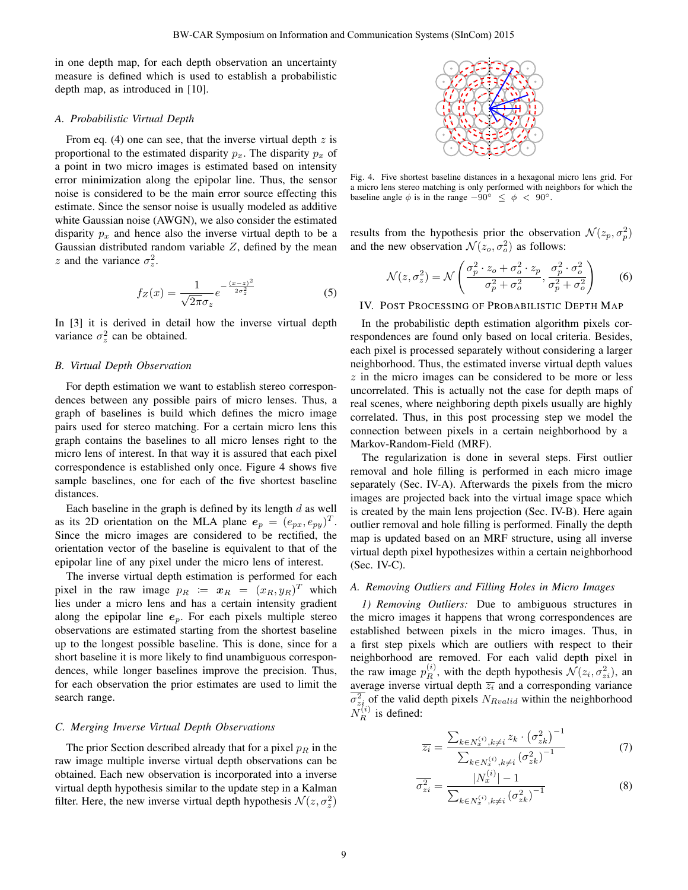in one depth map, for each depth observation an uncertainty measure is defined which is used to establish a probabilistic depth map, as introduced in [10].

#### *A. Probabilistic Virtual Depth*

From eq. (4) one can see, that the inverse virtual depth  $z$  is proportional to the estimated disparity  $p_x$ . The disparity  $p_x$  of a point in two micro images is estimated based on intensity error minimization along the epipolar line. Thus, the sensor noise is considered to be the main error source effecting this estimate. Since the sensor noise is usually modeled as additive white Gaussian noise (AWGN), we also consider the estimated disparity  $p_x$  and hence also the inverse virtual depth to be a Gaussian distributed random variable  $Z$ , defined by the mean z and the variance  $\sigma_z^2$ .

$$
f_Z(x) = \frac{1}{\sqrt{2\pi}\sigma_z} e^{-\frac{(x-z)^2}{2\sigma_z^2}}
$$
 (5)

In [3] it is derived in detail how the inverse virtual depth variance  $\sigma_z^2$  can be obtained.

#### *B. Virtual Depth Observation*

For depth estimation we want to establish stereo correspondences between any possible pairs of micro lenses. Thus, a graph of baselines is build which defines the micro image pairs used for stereo matching. For a certain micro lens this graph contains the baselines to all micro lenses right to the micro lens of interest. In that way it is assured that each pixel correspondence is established only once. Figure 4 shows five sample baselines, one for each of the five shortest baseline distances.

Each baseline in the graph is defined by its length  $d$  as well as its 2D orientation on the MLA plane  $e_p = (e_{px}, e_{py})^T$ . Since the micro images are considered to be rectified, the orientation vector of the baseline is equivalent to that of the epipolar line of any pixel under the micro lens of interest.

The inverse virtual depth estimation is performed for each pixel in the raw image  $p_R := x_R = (x_R, y_R)^T$  which lies under a micro lens and has a certain intensity gradient along the epipolar line  $e_p$ . For each pixels multiple stereo observations are estimated starting from the shortest baseline up to the longest possible baseline. This is done, since for a short baseline it is more likely to find unambiguous correspondences, while longer baselines improve the precision. Thus, for each observation the prior estimates are used to limit the search range.

#### *C. Merging Inverse Virtual Depth Observations*

The prior Section described already that for a pixel  $p_R$  in the raw image multiple inverse virtual depth observations can be obtained. Each new observation is incorporated into a inverse virtual depth hypothesis similar to the update step in a Kalman filter. Here, the new inverse virtual depth hypothesis  $\mathcal{N}(z, \sigma_z^2)$ 



Fig. 4. Five shortest baseline distances in a hexagonal micro lens grid. For a micro lens stereo matching is only performed with neighbors for which the baseline angle  $\phi$  is in the range  $-90^\circ \leq \phi < 90^\circ$ .

results from the hypothesis prior the observation  $\mathcal{N}(z_p, \sigma_p^2)$ and the new observation  $\mathcal{N}(z_o, \sigma_o^2)$  as follows:

$$
\mathcal{N}(z,\sigma_z^2) = \mathcal{N}\left(\frac{\sigma_p^2 \cdot z_o + \sigma_o^2 \cdot z_p}{\sigma_p^2 + \sigma_o^2}, \frac{\sigma_p^2 \cdot \sigma_o^2}{\sigma_p^2 + \sigma_o^2}\right) \tag{6}
$$

IV. POST PROCESSING OF PROBABILISTIC DEPTH MAP

In the probabilistic depth estimation algorithm pixels correspondences are found only based on local criteria. Besides, each pixel is processed separately without considering a larger neighborhood. Thus, the estimated inverse virtual depth values  $z$  in the micro images can be considered to be more or less uncorrelated. This is actually not the case for depth maps of real scenes, where neighboring depth pixels usually are highly correlated. Thus, in this post processing step we model the connection between pixels in a certain neighborhood by a Markov-Random-Field (MRF).

The regularization is done in several steps. First outlier removal and hole filling is performed in each micro image separately (Sec. IV-A). Afterwards the pixels from the micro images are projected back into the virtual image space which is created by the main lens projection (Sec. IV-B). Here again outlier removal and hole filling is performed. Finally the depth map is updated based on an MRF structure, using all inverse virtual depth pixel hypothesizes within a certain neighborhood  $(Sec. IV-C).$ 

## *A. Removing Outliers and Filling Holes in Micro Images*

*1) Removing Outliers:* Due to ambiguous structures in the micro images it happens that wrong correspondences are established between pixels in the micro images. Thus, in a first step pixels which are outliers with respect to their neighborhood are removed. For each valid depth pixel in the raw image  $p_R^{(i)}$ , with the depth hypothesis  $\mathcal{N}(z_i, \sigma_{zi}^2)$ , and average inverse virtual depth  $\overline{z_i}$  and a corresponding variance  $\sigma_{z_i}^2$  of the valid depth pixels  $N_{Rvalid}$  within the neighborhood  $\tilde{N_R^{(i)}}$  is defined:

$$
\overline{z_i} = \frac{\sum_{k \in N_x^{(i)}, k \neq i} z_k \cdot (\sigma_{zk}^2)^{-1}}{\sum_{k \in N_x^{(i)}, k \neq i} (\sigma_{zk}^2)^{-1}}
$$
(7)

$$
\overline{\sigma_{zi}^2} = \frac{|N_x^{(i)}| - 1}{\sum_{k \in N_x^{(i)}, k \neq i} (\sigma_{zk}^2)^{-1}}
$$
(8)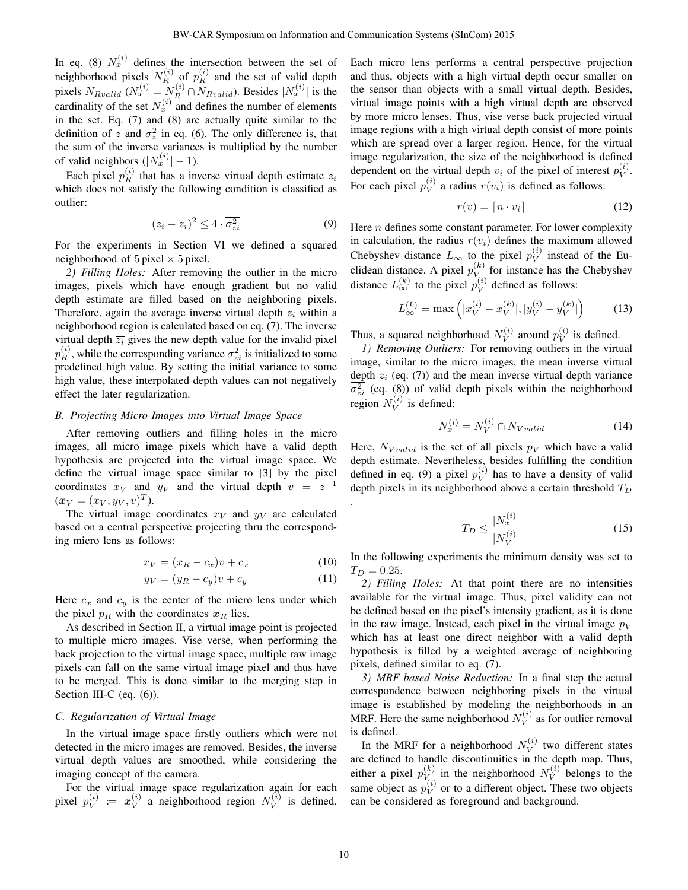In eq. (8)  $N_x^{(i)}$  defines the intersection between the set of neighborhood pixels  $N_R^{(i)}$  of  $p_R^{(i)}$  and the set of valid depth pixels  $N_{Rvalid}$  ( $N_x^{(i)} = N_R^{(i)} \cap N_{Rvalid}$ ). Besides  $|N_x^{(i)}|$  is the cardinality of the set  $N_x^{(i)}$  and defines the number of elements in the set. Eq. (7) and (8) are actually quite similar to the definition of z and  $\sigma_z^2$  in eq. (6). The only difference is, that the sum of the inverse variances is multiplied by the number of valid neighbors  $(|N_x^{(i)}| - 1)$ .

Each pixel  $p_R^{(i)}$  that has a inverse virtual depth estimate  $z_i$ which does not satisfy the following condition is classified as outlier:

$$
(z_i - \overline{z_i})^2 \le 4 \cdot \overline{\sigma_{zi}^2} \tag{9}
$$

For the experiments in Section VI we defined a squared neighborhood of  $5$  pixel  $\times$  5 pixel.

*2) Filling Holes:* After removing the outlier in the micro images, pixels which have enough gradient but no valid depth estimate are filled based on the neighboring pixels. Therefore, again the average inverse virtual depth  $\overline{z_i}$  within a neighborhood region is calculated based on eq. (7). The inverse virtual depth  $\overline{z_i}$  gives the new depth value for the invalid pixel  $p_R^{(i)}$ , while the corresponding variance  $\sigma_{zi}^2$  is initialized to some predefined high value. By setting the initial variance to some high value, these interpolated depth values can not negatively effect the later regularization.

## *B. Projecting Micro Images into Virtual Image Space*

After removing outliers and filling holes in the micro images, all micro image pixels which have a valid depth hypothesis are projected into the virtual image space. We define the virtual image space similar to [3] by the pixel coordinates  $x_V$  and  $y_V$  and the virtual depth  $v = z^{-1}$  $(\bm{x}_V = (x_V, y_V, v)^T).$ 

The virtual image coordinates  $x_V$  and  $y_V$  are calculated based on a central perspective projecting thru the corresponding micro lens as follows:

$$
x_V = (x_R - c_x)v + c_x \tag{10}
$$

$$
y_V = (y_R - c_y)v + c_y \tag{11}
$$

Here  $c_x$  and  $c_y$  is the center of the micro lens under which the pixel  $p_R$  with the coordinates  $x_R$  lies.

As described in Section II, a virtual image point is projected to multiple micro images. Vise verse, when performing the back projection to the virtual image space, multiple raw image pixels can fall on the same virtual image pixel and thus have to be merged. This is done similar to the merging step in Section III-C (eq.  $(6)$ ).

## *C. Regularization of Virtual Image*

In the virtual image space firstly outliers which were not detected in the micro images are removed. Besides, the inverse virtual depth values are smoothed, while considering the imaging concept of the camera.

For the virtual image space regularization again for each pixel  $p_V^{(i)}$  $\overset{(i)}{V}\ \coloneqq\ \pmb{x}^{(i)}_V$  $V_V^{(i)}$  a neighborhood region  $N_V^{(i)}$  $V^{(i)}$  is defined. Each micro lens performs a central perspective projection and thus, objects with a high virtual depth occur smaller on the sensor than objects with a small virtual depth. Besides, virtual image points with a high virtual depth are observed by more micro lenses. Thus, vise verse back projected virtual image regions with a high virtual depth consist of more points which are spread over a larger region. Hence, for the virtual image regularization, the size of the neighborhood is defined dependent on the virtual depth  $v_i$  of the pixel of interest  $p_V^{(i)}$  $\overset{(i)}{V}$ . For each pixel  $p_V^{(i)}$  $V^{(i)}$  a radius  $r(v_i)$  is defined as follows:

$$
r(v) = \lceil n \cdot v_i \rceil \tag{12}
$$

Here  $n$  defines some constant parameter. For lower complexity in calculation, the radius  $r(v_i)$  defines the maximum allowed Chebyshev distance  $L_{\infty}$  to the pixel  $p_V^{(i)}$  $V^{(v)}$  instead of the Euclidean distance. A pixel  $p_V^{(k)}$  $V_{\text{V}}^{(k)}$  for instance has the Chebyshev distance  $L_{\infty}^{(k)}$  to the pixel  $p_V^{(i)}$  $V^{(i)}$  defined as follows:

$$
L_{\infty}^{(k)} = \max\left(|x_V^{(i)} - x_V^{(k)}|, |y_V^{(i)} - y_V^{(k)}|\right) \tag{13}
$$

Thus, a squared neighborhood  $N_V^{(i)}$  $\hat{v}_V^{(i)}$  around  $p_V^{(i)}$  $V^{(i)}$  is defined.

*1) Removing Outliers:* For removing outliers in the virtual image, similar to the micro images, the mean inverse virtual depth  $\overline{z_i}$  (eq. (7)) and the mean inverse virtual depth variance  $\overline{\sigma_{zi}^2}$  (eq. (8)) of valid depth pixels within the neighborhood region  $N_V^{(i)}$  $V^{(i)}$  is defined:

$$
N_x^{(i)} = N_V^{(i)} \cap N_{Vvalid} \tag{14}
$$

Here,  $N_{Vvalid}$  is the set of all pixels  $p_V$  which have a valid depth estimate. Nevertheless, besides fulfilling the condition defined in eq. (9) a pixel  $p_V^{(i)}$  $V^{(i)}$  has to have a density of valid depth pixels in its neighborhood above a certain threshold  $T_D$ 

$$
T_D \le \frac{|N_x^{(i)}|}{|N_V^{(i)}|} \tag{15}
$$

In the following experiments the minimum density was set to  $T_D = 0.25.$ 

*2) Filling Holes:* At that point there are no intensities available for the virtual image. Thus, pixel validity can not be defined based on the pixel's intensity gradient, as it is done in the raw image. Instead, each pixel in the virtual image  $p_V$ which has at least one direct neighbor with a valid depth hypothesis is filled by a weighted average of neighboring pixels, defined similar to eq. (7).

*3) MRF based Noise Reduction:* In a final step the actual correspondence between neighboring pixels in the virtual image is established by modeling the neighborhoods in an MRF. Here the same neighborhood  $N_V^{(i)}$  $V^{(i)}$  as for outlier removal is defined.

In the MRF for a neighborhood  $N_V^{(i)}$  $V^{(i)}$  two different states are defined to handle discontinuities in the depth map. Thus, either a pixel  $p_V^{(k)}$  $V(V)$  in the neighborhood  $N_V^{(i)}$  $V^{(i)}$  belongs to the same object as  $p_V^{(i)}$  $V^{(i)}$  or to a different object. These two objects can be considered as foreground and background.

.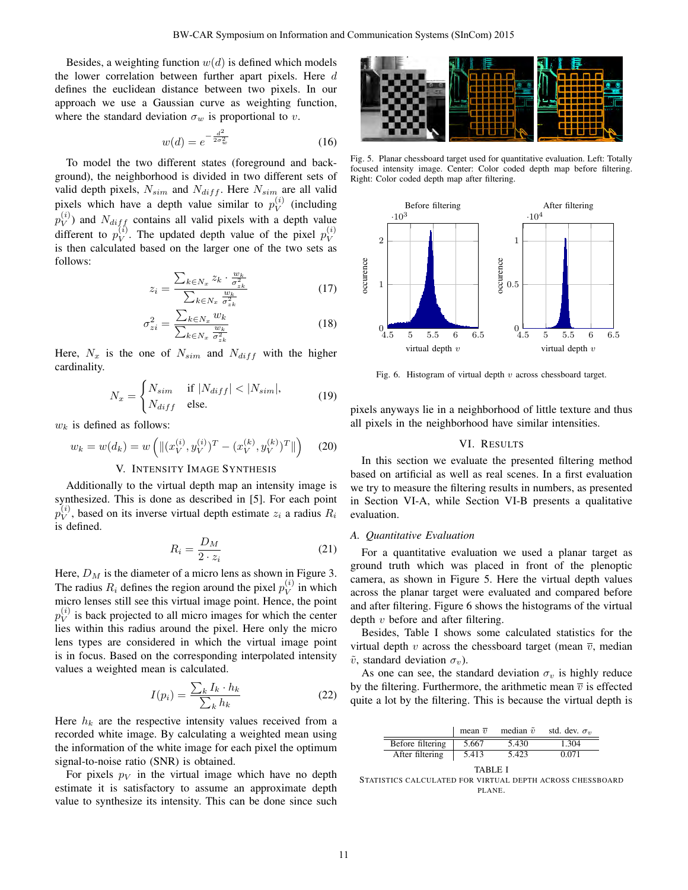Besides, a weighting function  $w(d)$  is defined which models the lower correlation between further apart pixels. Here d defines the euclidean distance between two pixels. In our approach we use a Gaussian curve as weighting function, where the standard deviation  $\sigma_w$  is proportional to v.

$$
w(d) = e^{-\frac{d^2}{2\sigma_w^2}}
$$
 (16)

To model the two different states (foreground and background), the neighborhood is divided in two different sets of valid depth pixels,  $N_{sim}$  and  $N_{diff}$ . Here  $N_{sim}$  are all valid pixels which have a depth value similar to  $p_V^{(i)}$  $V^{(i)}$  (including  $p_V^{(i)}$  $V(V)$  and  $N_{diff}$  contains all valid pixels with a depth value different to  $p_V^{(i)}$  $V(V)$ . The updated depth value of the pixel  $p_V^{(i)}$ V is then calculated based on the larger one of the two sets as follows:

$$
z_i = \frac{\sum_{k \in N_x} z_k \cdot \frac{w_k}{\sigma_{z_k}^2}}{\sum_{k \in N_x} \frac{w_k}{\sigma_{z_k}^2}}
$$
(17)

$$
\sigma_{zi}^2 = \frac{\sum_{k \in N_x} w_k}{\sum_{k \in N_x} \frac{w_k}{\sigma_{zi}^2}}
$$
(18)

Here,  $N_x$  is the one of  $N_{sim}$  and  $N_{diff}$  with the higher cardinality.

$$
N_x = \begin{cases} N_{sim} & \text{if } |N_{diff}| < |N_{sim}|, \\ N_{diff} & \text{else.} \end{cases} \tag{19}
$$

 $w_k$  is defined as follows:

$$
w_k = w(d_k) = w\left(\|(x_V^{(i)}, y_V^{(i)})^T - (x_V^{(k)}, y_V^{(k)})^T\|\right) \tag{20}
$$

# V. INTENSITY IMAGE SYNTHESIS

Additionally to the virtual depth map an intensity image is synthesized. This is done as described in [5]. For each point  $p_V^{(i)}$  $V<sub>V</sub>$ , based on its inverse virtual depth estimate  $z<sub>i</sub>$  a radius  $R<sub>i</sub>$ is defined.

$$
R_i = \frac{D_M}{2 \cdot z_i} \tag{21}
$$

Here,  $D_M$  is the diameter of a micro lens as shown in Figure 3. The radius  $R_i$  defines the region around the pixel  $p_V^{(i)}$  $V^{(i)}$  in which micro lenses still see this virtual image point. Hence, the point  $p_V^{(i)}$  $V<sup>(*i*)</sup>$  is back projected to all micro images for which the center lies within this radius around the pixel. Here only the micro lens types are considered in which the virtual image point is in focus. Based on the corresponding interpolated intensity values a weighted mean is calculated.

$$
I(p_i) = \frac{\sum_k I_k \cdot h_k}{\sum_k h_k} \tag{22}
$$

Here  $h_k$  are the respective intensity values received from a recorded white image. By calculating a weighted mean using the information of the white image for each pixel the optimum signal-to-noise ratio (SNR) is obtained.

For pixels  $p_V$  in the virtual image which have no depth estimate it is satisfactory to assume an approximate depth value to synthesize its intensity. This can be done since such



Fig. 5. Planar chessboard target used for quantitative evaluation. Left: Totally focused intensity image. Center: Color coded depth map before filtering. Right: Color coded depth map after filtering.



Fig. 6. Histogram of virtual depth  $v$  across chessboard target.

pixels anyways lie in a neighborhood of little texture and thus all pixels in the neighborhood have similar intensities.

#### VI. RESULTS

In this section we evaluate the presented filtering method based on artificial as well as real scenes. In a first evaluation we try to measure the filtering results in numbers, as presented in Section VI-A, while Section VI-B presents a qualitative evaluation.

#### *A. Quantitative Evaluation*

For a quantitative evaluation we used a planar target as ground truth which was placed in front of the plenoptic camera, as shown in Figure 5. Here the virtual depth values across the planar target were evaluated and compared before and after filtering. Figure 6 shows the histograms of the virtual depth  $v$  before and after filtering.

Besides, Table I shows some calculated statistics for the virtual depth v across the chessboard target (mean  $\overline{v}$ , median  $\tilde{v}$ , standard deviation  $\sigma_v$ ).

As one can see, the standard deviation  $\sigma_v$  is highly reduce by the filtering. Furthermore, the arithmetic mean  $\overline{v}$  is effected quite a lot by the filtering. This is because the virtual depth is

|                  | mean $\overline{v}$ | median $\tilde{v}$ | std. dev. $\sigma_v$ |
|------------------|---------------------|--------------------|----------------------|
| Before filtering | 5.667               | 5.430              | 1.304                |
| After filtering  | 5.413               | 5.423              | 0.071                |

TABLE I STATISTICS CALCULATED FOR VIRTUAL DEPTH ACROSS CHESSBOARD PLANE.